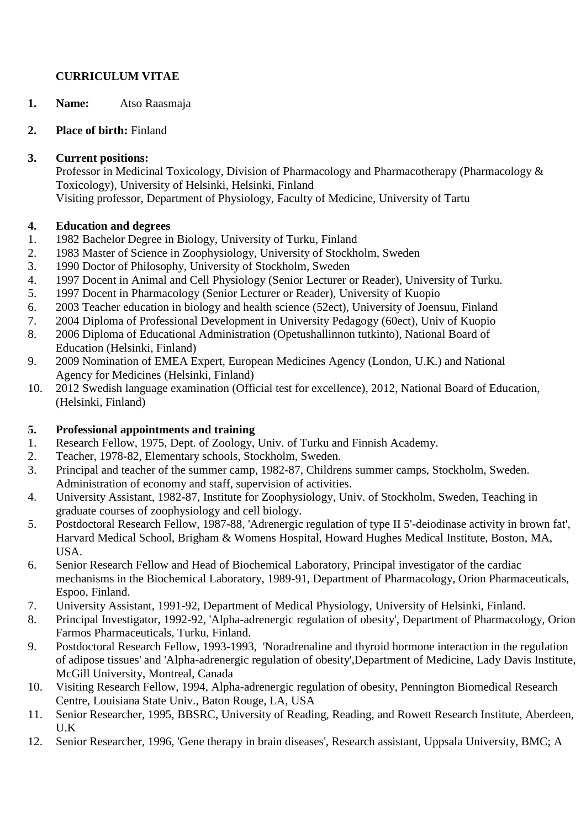# **CURRICULUM VITAE**

**1. Name:** Atso Raasmaja

## **2. Place of birth:** Finland

## **3. Current positions:**

Professor in Medicinal Toxicology, Division of Pharmacology and Pharmacotherapy (Pharmacology & Toxicology), University of Helsinki, Helsinki, Finland Visiting professor, Department of Physiology, Faculty of Medicine, University of Tartu

# **4. Education and degrees**

- 1. 1982 Bachelor Degree in Biology, University of Turku, Finland
- 2. 1983 Master of Science in Zoophysiology, University of Stockholm, Sweden
- 3. 1990 Doctor of Philosophy, University of Stockholm, Sweden
- 4. 1997 Docent in Animal and Cell Physiology (Senior Lecturer or Reader), University of Turku.
- 5. 1997 Docent in Pharmacology (Senior Lecturer or Reader), University of Kuopio
- 6. 2003 Teacher education in biology and health science (52ect), University of Joensuu, Finland
- 7. 2004 Diploma of Professional Development in University Pedagogy (60ect), Univ of Kuopio
- 8. 2006 Diploma of Educational Administration (Opetushallinnon tutkinto), National Board of Education (Helsinki, Finland)
- 9. 2009 Nomination of EMEA Expert, European Medicines Agency (London, U.K.) and National Agency for Medicines (Helsinki, Finland)
- 10. 2012 Swedish language examination (Official test for excellence), 2012, National Board of Education, (Helsinki, Finland)

# **5. Professional appointments and training**

- 1. Research Fellow, 1975, Dept. of Zoology, Univ. of Turku and Finnish Academy.
- 2. Teacher, 1978-82, Elementary schools, Stockholm, Sweden.
- 3. Principal and teacher of the summer camp, 1982-87, Childrens summer camps, Stockholm, Sweden. Administration of economy and staff, supervision of activities.
- 4. University Assistant, 1982-87, Institute for Zoophysiology, Univ. of Stockholm, Sweden, Teaching in graduate courses of zoophysiology and cell biology.
- 5. Postdoctoral Research Fellow, 1987-88, 'Adrenergic regulation of type II 5'-deiodinase activity in brown fat', Harvard Medical School, Brigham & Womens Hospital, Howard Hughes Medical Institute, Boston, MA, USA.
- 6. Senior Research Fellow and Head of Biochemical Laboratory, Principal investigator of the cardiac mechanisms in the Biochemical Laboratory, 1989-91, Department of Pharmacology, Orion Pharmaceuticals, Espoo, Finland.
- 7. University Assistant, 1991-92, Department of Medical Physiology, University of Helsinki, Finland.
- 8. Principal Investigator, 1992-92, 'Alpha-adrenergic regulation of obesity', Department of Pharmacology, Orion Farmos Pharmaceuticals, Turku, Finland.
- 9. Postdoctoral Research Fellow, 1993-1993, 'Noradrenaline and thyroid hormone interaction in the regulation of adipose tissues' and 'Alpha-adrenergic regulation of obesity',Department of Medicine, Lady Davis Institute, McGill University, Montreal, Canada
- 10. Visiting Research Fellow, 1994, Alpha-adrenergic regulation of obesity, Pennington Biomedical Research Centre, Louisiana State Univ., Baton Rouge, LA, USA
- 11. Senior Researcher, 1995, BBSRC, University of Reading, Reading, and Rowett Research Institute, Aberdeen, U.K
- 12. Senior Researcher, 1996, 'Gene therapy in brain diseases', Research assistant, Uppsala University, BMC; A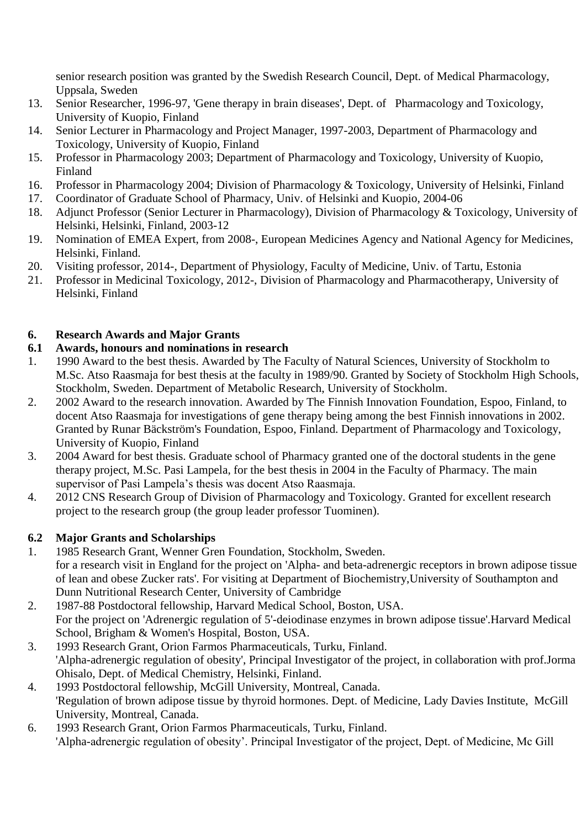senior research position was granted by the Swedish Research Council, Dept. of Medical Pharmacology, Uppsala, Sweden

- 13. Senior Researcher, 1996-97, 'Gene therapy in brain diseases', Dept. of Pharmacology and Toxicology, University of Kuopio, Finland
- 14. Senior Lecturer in Pharmacology and Project Manager, 1997-2003, Department of Pharmacology and Toxicology, University of Kuopio, Finland
- 15. Professor in Pharmacology 2003; Department of Pharmacology and Toxicology, University of Kuopio, Finland
- 16. Professor in Pharmacology 2004; Division of Pharmacology & Toxicology, University of Helsinki, Finland
- 17. Coordinator of Graduate School of Pharmacy, Univ. of Helsinki and Kuopio, 2004-06
- 18. Adjunct Professor (Senior Lecturer in Pharmacology), Division of Pharmacology & Toxicology, University of Helsinki, Helsinki, Finland, 2003-12
- 19. Nomination of EMEA Expert, from 2008-, European Medicines Agency and National Agency for Medicines, Helsinki, Finland.
- 20. Visiting professor, 2014-, Department of Physiology, Faculty of Medicine, Univ. of Tartu, Estonia
- 21. Professor in Medicinal Toxicology, 2012-, Division of Pharmacology and Pharmacotherapy, University of Helsinki, Finland

# **6. Research Awards and Major Grants**

# **6.1 Awards, honours and nominations in research**

- 1. 1990 Award to the best thesis. Awarded by The Faculty of Natural Sciences, University of Stockholm to M.Sc. Atso Raasmaja for best thesis at the faculty in 1989/90. Granted by Society of Stockholm High Schools, Stockholm, Sweden. Department of Metabolic Research, University of Stockholm.
- 2. 2002 Award to the research innovation. Awarded by The Finnish Innovation Foundation, Espoo, Finland, to docent Atso Raasmaja for investigations of gene therapy being among the best Finnish innovations in 2002. Granted by Runar Bäckström's Foundation, Espoo, Finland. Department of Pharmacology and Toxicology, University of Kuopio, Finland
- 3. 2004 Award for best thesis. Graduate school of Pharmacy granted one of the doctoral students in the gene therapy project, M.Sc. Pasi Lampela, for the best thesis in 2004 in the Faculty of Pharmacy. The main supervisor of Pasi Lampela's thesis was docent Atso Raasmaja.
- 4. 2012 CNS Research Group of Division of Pharmacology and Toxicology. Granted for excellent research project to the research group (the group leader professor Tuominen).

# **6.2 Major Grants and Scholarships**

- 1. 1985 Research Grant, Wenner Gren Foundation, Stockholm, Sweden. for a research visit in England for the project on 'Alpha- and beta-adrenergic receptors in brown adipose tissue of lean and obese Zucker rats'. For visiting at Department of Biochemistry,University of Southampton and Dunn Nutritional Research Center, University of Cambridge
- 2. 1987-88 Postdoctoral fellowship, Harvard Medical School, Boston, USA. For the project on 'Adrenergic regulation of 5'-deiodinase enzymes in brown adipose tissue'.Harvard Medical School, Brigham & Women's Hospital, Boston, USA.
- 3. 1993 Research Grant, Orion Farmos Pharmaceuticals, Turku, Finland. 'Alpha-adrenergic regulation of obesity', Principal Investigator of the project, in collaboration with prof.Jorma Ohisalo, Dept. of Medical Chemistry, Helsinki, Finland.
- 4. 1993 Postdoctoral fellowship, McGill University, Montreal, Canada. 'Regulation of brown adipose tissue by thyroid hormones. Dept. of Medicine, Lady Davies Institute, McGill University, Montreal, Canada.
- 6. 1993 Research Grant, Orion Farmos Pharmaceuticals, Turku, Finland. 'Alpha-adrenergic regulation of obesity'. Principal Investigator of the project, Dept. of Medicine, Mc Gill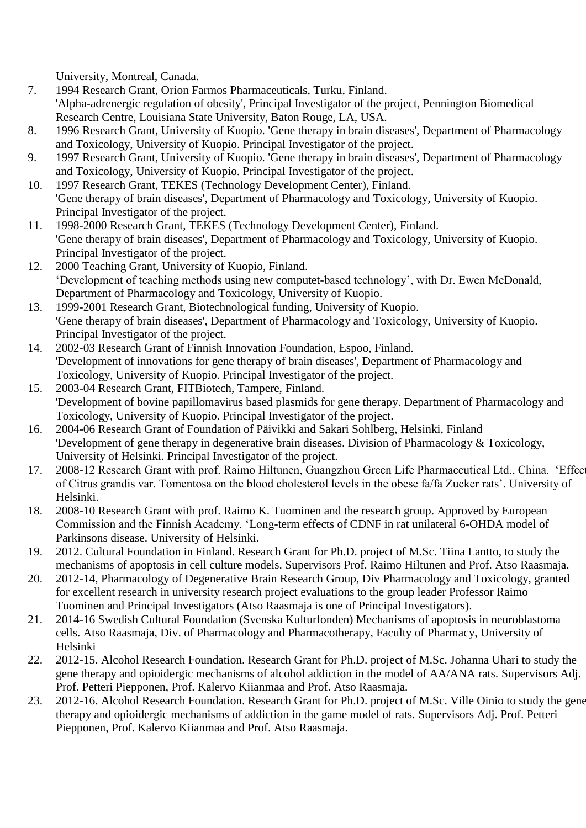University, Montreal, Canada.

- 7. 1994 Research Grant, Orion Farmos Pharmaceuticals, Turku, Finland. 'Alpha-adrenergic regulation of obesity', Principal Investigator of the project, Pennington Biomedical Research Centre, Louisiana State University, Baton Rouge, LA, USA.
- 8. 1996 Research Grant, University of Kuopio. 'Gene therapy in brain diseases', Department of Pharmacology and Toxicology, University of Kuopio. Principal Investigator of the project.
- 9. 1997 Research Grant, University of Kuopio. 'Gene therapy in brain diseases', Department of Pharmacology and Toxicology, University of Kuopio. Principal Investigator of the project.
- 10. 1997 Research Grant, TEKES (Technology Development Center), Finland. 'Gene therapy of brain diseases', Department of Pharmacology and Toxicology, University of Kuopio. Principal Investigator of the project.
- 11. 1998-2000 Research Grant, TEKES (Technology Development Center), Finland. 'Gene therapy of brain diseases', Department of Pharmacology and Toxicology, University of Kuopio. Principal Investigator of the project.
- 12. 2000 Teaching Grant, University of Kuopio, Finland. 'Development of teaching methods using new computet-based technology', with Dr. Ewen McDonald, Department of Pharmacology and Toxicology, University of Kuopio.
- 13. 1999-2001 Research Grant, Biotechnological funding, University of Kuopio. 'Gene therapy of brain diseases', Department of Pharmacology and Toxicology, University of Kuopio. Principal Investigator of the project.
- 14. 2002-03 Research Grant of Finnish Innovation Foundation, Espoo, Finland. 'Development of innovations for gene therapy of brain diseases', Department of Pharmacology and Toxicology, University of Kuopio. Principal Investigator of the project.
- 15. 2003-04 Research Grant, FITBiotech, Tampere, Finland. 'Development of bovine papillomavirus based plasmids for gene therapy. Department of Pharmacology and Toxicology, University of Kuopio. Principal Investigator of the project.
- 16. 2004-06 Research Grant of Foundation of Päivikki and Sakari Sohlberg, Helsinki, Finland 'Development of gene therapy in degenerative brain diseases. Division of Pharmacology & Toxicology, University of Helsinki. Principal Investigator of the project.
- 17. 2008-12 Research Grant with prof. Raimo Hiltunen, Guangzhou Green Life Pharmaceutical Ltd., China. 'Effec of Citrus grandis var. Tomentosa on the blood cholesterol levels in the obese fa/fa Zucker rats'. University of Helsinki.
- 18. 2008-10 Research Grant with prof. Raimo K. Tuominen and the research group. Approved by European Commission and the Finnish Academy. 'Long-term effects of CDNF in rat unilateral 6-OHDA model of Parkinsons disease. University of Helsinki.
- 19. 2012. Cultural Foundation in Finland. Research Grant for Ph.D. project of M.Sc. Tiina Lantto, to study the mechanisms of apoptosis in cell culture models. Supervisors Prof. Raimo Hiltunen and Prof. Atso Raasmaja.
- 20. 2012-14, Pharmacology of Degenerative Brain Research Group, Div Pharmacology and Toxicology, granted for excellent research in university research project evaluations to the group leader Professor Raimo Tuominen and Principal Investigators (Atso Raasmaja is one of Principal Investigators).
- 21. 2014-16 Swedish Cultural Foundation (Svenska Kulturfonden) Mechanisms of apoptosis in neuroblastoma cells. Atso Raasmaja, Div. of Pharmacology and Pharmacotherapy, Faculty of Pharmacy, University of Helsinki
- 22. 2012-15. Alcohol Research Foundation. Research Grant for Ph.D. project of M.Sc. Johanna Uhari to study the gene therapy and opioidergic mechanisms of alcohol addiction in the model of AA/ANA rats. Supervisors Adj. Prof. Petteri Piepponen, Prof. Kalervo Kiianmaa and Prof. Atso Raasmaja.
- 23. 2012-16. Alcohol Research Foundation. Research Grant for Ph.D. project of M.Sc. Ville Oinio to study the gene therapy and opioidergic mechanisms of addiction in the game model of rats. Supervisors Adj. Prof. Petteri Piepponen, Prof. Kalervo Kiianmaa and Prof. Atso Raasmaja.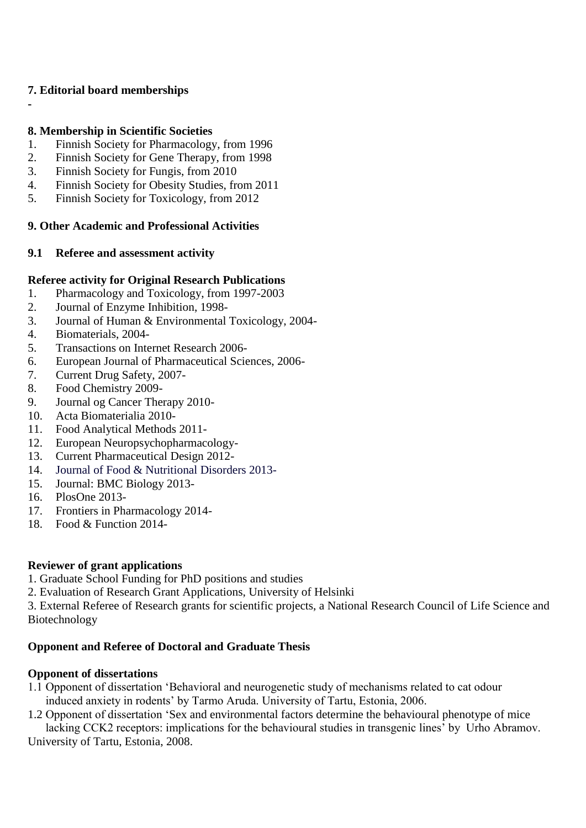## **7. Editorial board memberships**

**-**

## **8. Membership in Scientific Societies**

- 1. Finnish Society for Pharmacology, from 1996
- 2. Finnish Society for Gene Therapy, from 1998
- 3. Finnish Society for Fungis, from 2010
- 4. Finnish Society for Obesity Studies, from 2011
- 5. Finnish Society for Toxicology, from 2012

## **9. Other Academic and Professional Activities**

## **9.1 Referee and assessment activity**

## **Referee activity for Original Research Publications**

- 1. Pharmacology and Toxicology, from 1997-2003
- 2. Journal of Enzyme Inhibition, 1998-
- 3. Journal of Human & Environmental Toxicology, 2004-
- 4. Biomaterials, 2004-
- 5. Transactions on Internet Research 2006-
- 6. European Journal of Pharmaceutical Sciences, 2006-
- 7. Current Drug Safety, 2007-
- 8. Food Chemistry 2009-
- 9. Journal og Cancer Therapy 2010-
- 10. Acta Biomaterialia 2010-
- 11. Food Analytical Methods 2011-
- 12. European Neuropsychopharmacology-
- 13. Current Pharmaceutical Design 2012-
- 14. Journal of Food & Nutritional Disorders 2013-
- 15. Journal: BMC Biology 2013-
- 16. PlosOne 2013-
- 17. Frontiers in Pharmacology 2014-
- 18. Food & Function 2014-

# **Reviewer of grant applications**

- 1. Graduate School Funding for PhD positions and studies
- 2. Evaluation of Research Grant Applications, University of Helsinki

3. External Referee of Research grants for scientific projects, a National Research Council of Life Science and Biotechnology

# **Opponent and Referee of Doctoral and Graduate Thesis**

## **Opponent of dissertations**

- 1.1 Opponent of dissertation 'Behavioral and neurogenetic study of mechanisms related to cat odour induced anxiety in rodents' by Tarmo Aruda. University of Tartu, Estonia, 2006.
- 1.2 Opponent of dissertation 'Sex and environmental factors determine the behavioural phenotype of mice lacking CCK2 receptors: implications for the behavioural studies in transgenic lines' by Urho Abramov.

University of Tartu, Estonia, 2008.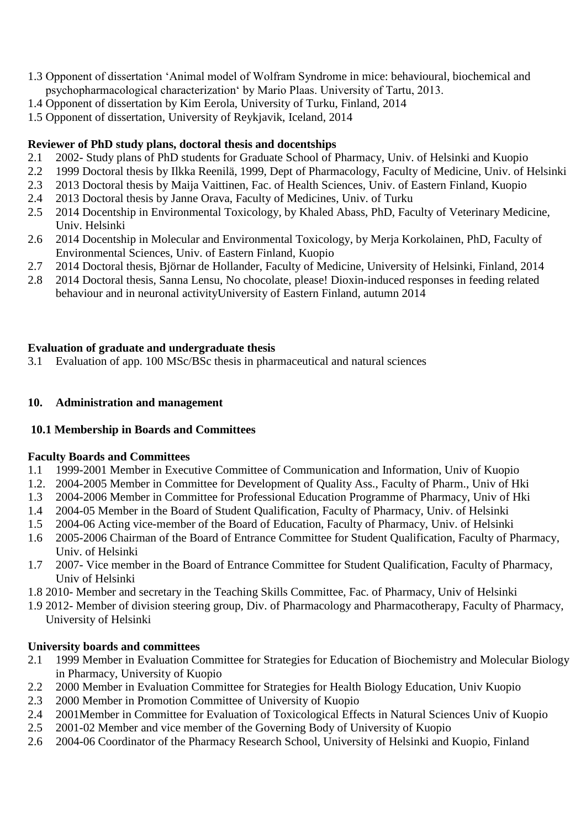- 1.3 Opponent of dissertation 'Animal model of Wolfram Syndrome in mice: behavioural, biochemical and psychopharmacological characterization' by Mario Plaas. University of Tartu, 2013.
- 1.4 Opponent of dissertation by Kim Eerola, University of Turku, Finland, 2014
- 1.5 Opponent of dissertation, University of Reykjavik, Iceland, 2014

## **Reviewer of PhD study plans, doctoral thesis and docentships**

- 2.1 2002- Study plans of PhD students for Graduate School of Pharmacy, Univ. of Helsinki and Kuopio
- 2.2 1999 Doctoral thesis by Ilkka Reenilä, 1999, Dept of Pharmacology, Faculty of Medicine, Univ. of Helsinki
- 2.3 2013 Doctoral thesis by Maija Vaittinen, Fac. of Health Sciences, Univ. of Eastern Finland, Kuopio
- 2.4 2013 Doctoral thesis by Janne Orava, Faculty of Medicines, Univ. of Turku
- 2.5 2014 Docentship in Environmental Toxicology, by Khaled Abass, PhD, Faculty of Veterinary Medicine, Univ. Helsinki
- 2.6 2014 Docentship in Molecular and Environmental Toxicology, by Merja Korkolainen, PhD, Faculty of Environmental Sciences, Univ. of Eastern Finland, Kuopio
- 2.7 2014 Doctoral thesis, Björnar de Hollander, Faculty of Medicine, University of Helsinki, Finland, 2014
- 2.8 2014 Doctoral thesis, Sanna Lensu, No chocolate, please! Dioxin-induced responses in feeding related behaviour and in neuronal activityUniversity of Eastern Finland, autumn 2014

### **Evaluation of graduate and undergraduate thesis**

3.1 Evaluation of app. 100 MSc/BSc thesis in pharmaceutical and natural sciences

### **10. Administration and management**

#### **10.1 Membership in Boards and Committees**

#### **Faculty Boards and Committees**

- 1.1 1999-2001 Member in Executive Committee of Communication and Information, Univ of Kuopio
- 1.2. 2004-2005 Member in Committee for Development of Quality Ass., Faculty of Pharm., Univ of Hki
- 1.3 2004-2006 Member in Committee for Professional Education Programme of Pharmacy, Univ of Hki
- 1.4 2004-05 Member in the Board of Student Qualification, Faculty of Pharmacy, Univ. of Helsinki
- 1.5 2004-06 Acting vice-member of the Board of Education, Faculty of Pharmacy, Univ. of Helsinki
- 1.6 2005-2006 Chairman of the Board of Entrance Committee for Student Qualification, Faculty of Pharmacy, Univ. of Helsinki
- 1.7 2007- Vice member in the Board of Entrance Committee for Student Qualification, Faculty of Pharmacy, Univ of Helsinki
- 1.8 2010- Member and secretary in the Teaching Skills Committee, Fac. of Pharmacy, Univ of Helsinki
- 1.9 2012- Member of division steering group, Div. of Pharmacology and Pharmacotherapy, Faculty of Pharmacy, University of Helsinki

## **University boards and committees**

- 2.1 1999 Member in Evaluation Committee for Strategies for Education of Biochemistry and Molecular Biology in Pharmacy, University of Kuopio
- 2.2 2000 Member in Evaluation Committee for Strategies for Health Biology Education, Univ Kuopio
- 2.3 2000 Member in Promotion Committee of University of Kuopio
- 2.4 2001Member in Committee for Evaluation of Toxicological Effects in Natural Sciences Univ of Kuopio
- 2.5 2001-02 Member and vice member of the Governing Body of University of Kuopio
- 2.6 2004-06 Coordinator of the Pharmacy Research School, University of Helsinki and Kuopio, Finland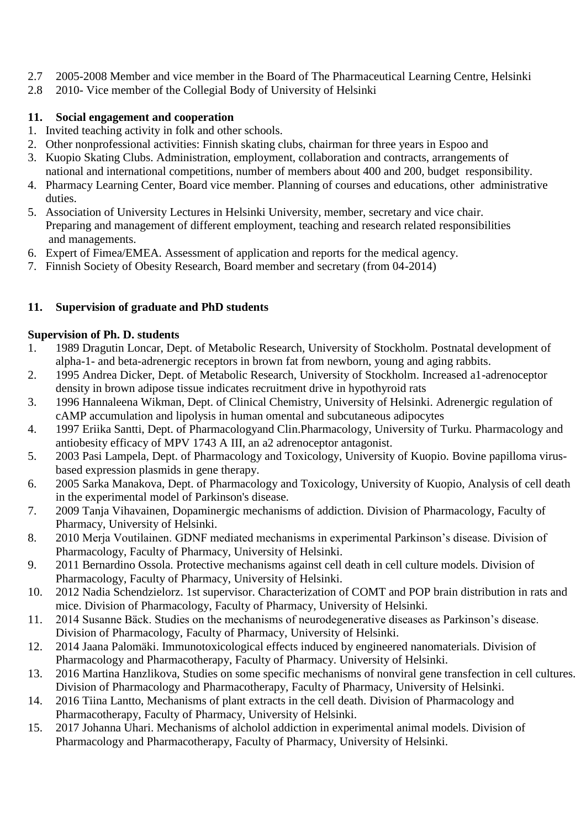- 2.7 2005-2008 Member and vice member in the Board of The Pharmaceutical Learning Centre, Helsinki
- 2.8 2010- Vice member of the Collegial Body of University of Helsinki

# **11. Social engagement and cooperation**

- 1. Invited teaching activity in folk and other schools.
- 2. Other nonprofessional activities: Finnish skating clubs, chairman for three years in Espoo and
- 3. Kuopio Skating Clubs. Administration, employment, collaboration and contracts, arrangements of national and international competitions, number of members about 400 and 200, budget responsibility.
- 4. Pharmacy Learning Center, Board vice member. Planning of courses and educations, other administrative duties.
- 5. Association of University Lectures in Helsinki University, member, secretary and vice chair. Preparing and management of different employment, teaching and research related responsibilities and managements.
- 6. Expert of Fimea/EMEA. Assessment of application and reports for the medical agency.
- 7. Finnish Society of Obesity Research, Board member and secretary (from 04-2014)

# **11. Supervision of graduate and PhD students**

# **Supervision of Ph. D. students**

- 1. 1989 Dragutin Loncar, Dept. of Metabolic Research, University of Stockholm. Postnatal development of alpha-1- and beta-adrenergic receptors in brown fat from newborn, young and aging rabbits.
- 2. 1995 Andrea Dicker, Dept. of Metabolic Research, University of Stockholm. Increased a1-adrenoceptor density in brown adipose tissue indicates recruitment drive in hypothyroid rats
- 3. 1996 Hannaleena Wikman, Dept. of Clinical Chemistry, University of Helsinki. Adrenergic regulation of cAMP accumulation and lipolysis in human omental and subcutaneous adipocytes
- 4. 1997 Eriika Santti, Dept. of Pharmacologyand Clin.Pharmacology, University of Turku. Pharmacology and antiobesity efficacy of MPV 1743 A III, an a2 adrenoceptor antagonist.
- 5. 2003 Pasi Lampela, Dept. of Pharmacology and Toxicology, University of Kuopio. Bovine papilloma virusbased expression plasmids in gene therapy.
- 6. 2005 Sarka Manakova, Dept. of Pharmacology and Toxicology, University of Kuopio, Analysis of cell death in the experimental model of Parkinson's disease.
- 7. 2009 Tanja Vihavainen, Dopaminergic mechanisms of addiction. Division of Pharmacology, Faculty of Pharmacy, University of Helsinki.
- 8. 2010 Merja Voutilainen. GDNF mediated mechanisms in experimental Parkinson's disease. Division of Pharmacology, Faculty of Pharmacy, University of Helsinki.
- 9. 2011 Bernardino Ossola. Protective mechanisms against cell death in cell culture models. Division of Pharmacology, Faculty of Pharmacy, University of Helsinki.
- 10. 2012 Nadia Schendzielorz. 1st supervisor. Characterization of COMT and POP brain distribution in rats and mice. Division of Pharmacology, Faculty of Pharmacy, University of Helsinki.
- 11. 2014 Susanne Bäck. Studies on the mechanisms of neurodegenerative diseases as Parkinson's disease. Division of Pharmacology, Faculty of Pharmacy, University of Helsinki.
- 12. 2014 Jaana Palomäki. Immunotoxicological effects induced by engineered nanomaterials. Division of Pharmacology and Pharmacotherapy, Faculty of Pharmacy. University of Helsinki.
- 13. 2016 Martina Hanzlikova, Studies on some specific mechanisms of nonviral gene transfection in cell cultures. Division of Pharmacology and Pharmacotherapy, Faculty of Pharmacy, University of Helsinki.
- 14. 2016 Tiina Lantto, Mechanisms of plant extracts in the cell death. Division of Pharmacology and Pharmacotherapy, Faculty of Pharmacy, University of Helsinki.
- 15. 2017 Johanna Uhari. Mechanisms of alcholol addiction in experimental animal models. Division of Pharmacology and Pharmacotherapy, Faculty of Pharmacy, University of Helsinki.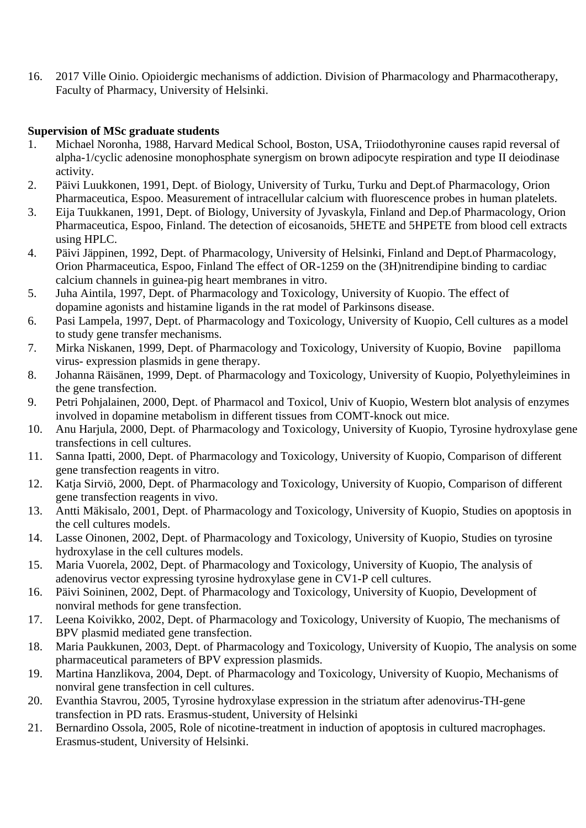16. 2017 Ville Oinio. Opioidergic mechanisms of addiction. Division of Pharmacology and Pharmacotherapy, Faculty of Pharmacy, University of Helsinki.

## **Supervision of MSc graduate students**

- 1. Michael Noronha, 1988, Harvard Medical School, Boston, USA, Triiodothyronine causes rapid reversal of alpha-1/cyclic adenosine monophosphate synergism on brown adipocyte respiration and type II deiodinase activity.
- 2. Päivi Luukkonen, 1991, Dept. of Biology, University of Turku, Turku and Dept.of Pharmacology, Orion Pharmaceutica, Espoo. Measurement of intracellular calcium with fluorescence probes in human platelets.
- 3. Eija Tuukkanen, 1991, Dept. of Biology, University of Jyvaskyla, Finland and Dep.of Pharmacology, Orion Pharmaceutica, Espoo, Finland. The detection of eicosanoids, 5HETE and 5HPETE from blood cell extracts using HPLC.
- 4. Päivi Jäppinen, 1992, Dept. of Pharmacology, University of Helsinki, Finland and Dept.of Pharmacology, Orion Pharmaceutica, Espoo, Finland The effect of OR-1259 on the (3H)nitrendipine binding to cardiac calcium channels in guinea-pig heart membranes in vitro.
- 5. Juha Aintila, 1997, Dept. of Pharmacology and Toxicology, University of Kuopio. The effect of dopamine agonists and histamine ligands in the rat model of Parkinsons disease.
- 6. Pasi Lampela, 1997, Dept. of Pharmacology and Toxicology, University of Kuopio, Cell cultures as a model to study gene transfer mechanisms.
- 7. Mirka Niskanen, 1999, Dept. of Pharmacology and Toxicology, University of Kuopio, Bovine papilloma virus- expression plasmids in gene therapy.
- 8. Johanna Räisänen, 1999, Dept. of Pharmacology and Toxicology, University of Kuopio, Polyethyleimines in the gene transfection.
- 9. Petri Pohjalainen, 2000, Dept. of Pharmacol and Toxicol, Univ of Kuopio, Western blot analysis of enzymes involved in dopamine metabolism in different tissues from COMT-knock out mice.
- 10. Anu Harjula, 2000, Dept. of Pharmacology and Toxicology, University of Kuopio, Tyrosine hydroxylase gene transfections in cell cultures.
- 11. Sanna Ipatti, 2000, Dept. of Pharmacology and Toxicology, University of Kuopio, Comparison of different gene transfection reagents in vitro.
- 12. Katja Sirviö, 2000, Dept. of Pharmacology and Toxicology, University of Kuopio, Comparison of different gene transfection reagents in vivo.
- 13. Antti Mäkisalo, 2001, Dept. of Pharmacology and Toxicology, University of Kuopio, Studies on apoptosis in the cell cultures models.
- 14. Lasse Oinonen, 2002, Dept. of Pharmacology and Toxicology, University of Kuopio, Studies on tyrosine hydroxylase in the cell cultures models.
- 15. Maria Vuorela, 2002, Dept. of Pharmacology and Toxicology, University of Kuopio, The analysis of adenovirus vector expressing tyrosine hydroxylase gene in CV1-P cell cultures.
- 16. Päivi Soininen, 2002, Dept. of Pharmacology and Toxicology, University of Kuopio, Development of nonviral methods for gene transfection.
- 17. Leena Koivikko, 2002, Dept. of Pharmacology and Toxicology, University of Kuopio, The mechanisms of BPV plasmid mediated gene transfection.
- 18. Maria Paukkunen, 2003, Dept. of Pharmacology and Toxicology, University of Kuopio, The analysis on some pharmaceutical parameters of BPV expression plasmids.
- 19. Martina Hanzlikova, 2004, Dept. of Pharmacology and Toxicology, University of Kuopio, Mechanisms of nonviral gene transfection in cell cultures.
- 20. Evanthia Stavrou, 2005, Tyrosine hydroxylase expression in the striatum after adenovirus-TH-gene transfection in PD rats. Erasmus-student, University of Helsinki
- 21. Bernardino Ossola, 2005, Role of nicotine-treatment in induction of apoptosis in cultured macrophages. Erasmus-student, University of Helsinki.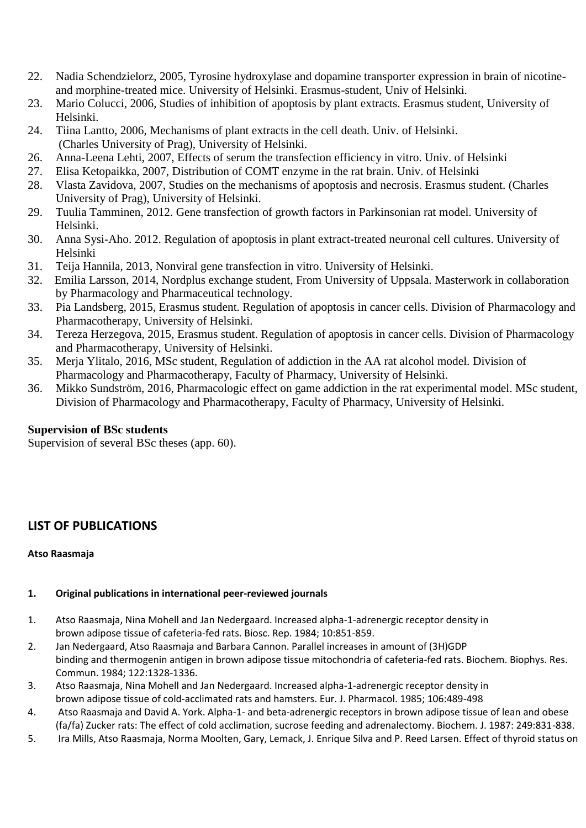- 22. Nadia Schendzielorz, 2005, Tyrosine hydroxylase and dopamine transporter expression in brain of nicotineand morphine-treated mice. University of Helsinki. Erasmus-student, Univ of Helsinki.
- 23. Mario Colucci, 2006, Studies of inhibition of apoptosis by plant extracts. Erasmus student, University of Helsinki.
- 24. Tiina Lantto, 2006, Mechanisms of plant extracts in the cell death. Univ. of Helsinki. (Charles University of Prag), University of Helsinki.
- 26. Anna-Leena Lehti, 2007, Effects of serum the transfection efficiency in vitro. Univ. of Helsinki
- 27. Elisa Ketopaikka, 2007, Distribution of COMT enzyme in the rat brain. Univ. of Helsinki
- 28. Vlasta Zavidova, 2007, Studies on the mechanisms of apoptosis and necrosis. Erasmus student. (Charles University of Prag), University of Helsinki.
- 29. Tuulia Tamminen, 2012. Gene transfection of growth factors in Parkinsonian rat model. University of Helsinki.
- 30. Anna Sysi-Aho. 2012. Regulation of apoptosis in plant extract-treated neuronal cell cultures. University of Helsinki
- 31. Teija Hannila, 2013, Nonviral gene transfection in vitro. University of Helsinki.
- 32. Emilia Larsson, 2014, Nordplus exchange student, From University of Uppsala. Masterwork in collaboration by Pharmacology and Pharmaceutical technology.
- 33. Pia Landsberg, 2015, Erasmus student. Regulation of apoptosis in cancer cells. Division of Pharmacology and Pharmacotherapy, University of Helsinki.
- 34. Tereza Herzegova, 2015, Erasmus student. Regulation of apoptosis in cancer cells. Division of Pharmacology and Pharmacotherapy, University of Helsinki.
- 35. Merja Ylitalo, 2016, MSc student, Regulation of addiction in the AA rat alcohol model. Division of Pharmacology and Pharmacotherapy, Faculty of Pharmacy, University of Helsinki.
- 36. Mikko Sundström, 2016, Pharmacologic effect on game addiction in the rat experimental model. MSc student, Division of Pharmacology and Pharmacotherapy, Faculty of Pharmacy, University of Helsinki.

## **Supervision of BSc students**

Supervision of several BSc theses (app. 60).

# **LIST OF PUBLICATIONS**

#### **Atso Raasmaja**

#### **1. Original publications in international peer-reviewed journals**

- 1. Atso Raasmaja, Nina Mohell and Jan Nedergaard. Increased alpha-1-adrenergic receptor density in brown adipose tissue of cafeteria-fed rats. Biosc. Rep. 1984; 10:851-859.
- 2. Jan Nedergaard, Atso Raasmaja and Barbara Cannon. Parallel increases in amount of (3H)GDP binding and thermogenin antigen in brown adipose tissue mitochondria of cafeteria-fed rats. Biochem. Biophys. Res. Commun. 1984; 122:1328-1336.
- 3. Atso Raasmaja, Nina Mohell and Jan Nedergaard. Increased alpha-1-adrenergic receptor density in brown adipose tissue of cold-acclimated rats and hamsters. Eur. J. Pharmacol. 1985; 106:489-498
- 4. Atso Raasmaja and David A. York. Alpha-1- and beta-adrenergic receptors in brown adipose tissue of lean and obese (fa/fa) Zucker rats: The effect of cold acclimation, sucrose feeding and adrenalectomy. Biochem. J. 1987: 249:831-838.
- 5. Ira Mills, Atso Raasmaja, Norma Moolten, Gary, Lemack, J. Enrique Silva and P. Reed Larsen. Effect of thyroid status on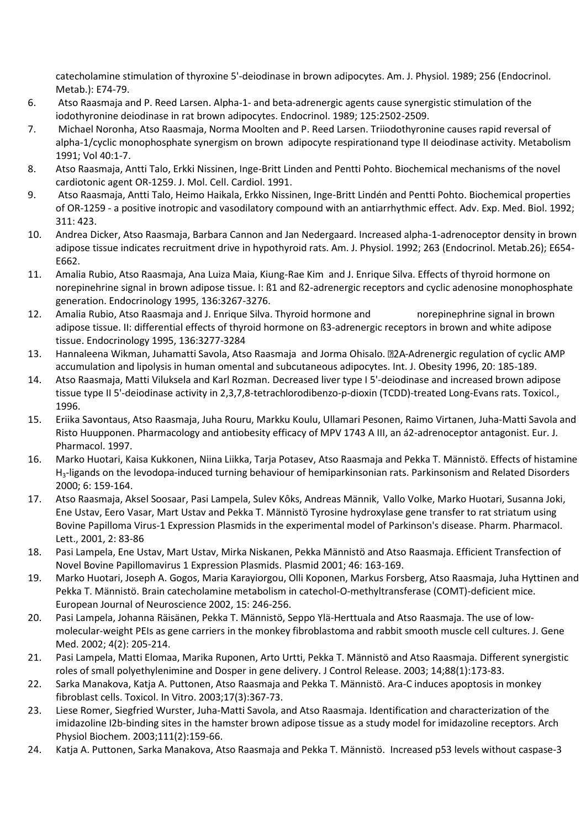catecholamine stimulation of thyroxine 5'-deiodinase in brown adipocytes. Am. J. Physiol. 1989; 256 (Endocrinol. Metab.): E74-79.

- 6. Atso Raasmaja and P. Reed Larsen. Alpha-1- and beta-adrenergic agents cause synergistic stimulation of the iodothyronine deiodinase in rat brown adipocytes. Endocrinol. 1989; 125:2502-2509.
- 7. Michael Noronha, Atso Raasmaja, Norma Moolten and P. Reed Larsen. Triiodothyronine causes rapid reversal of alpha-1/cyclic monophosphate synergism on brown adipocyte respirationand type II deiodinase activity. Metabolism 1991; Vol 40:1-7.
- 8. Atso Raasmaja, Antti Talo, Erkki Nissinen, Inge-Britt Linden and Pentti Pohto. Biochemical mechanisms of the novel cardiotonic agent OR-1259. J. Mol. Cell. Cardiol. 1991.
- 9. Atso Raasmaja, Antti Talo, Heimo Haikala, Erkko Nissinen, Inge-Britt Lindén and Pentti Pohto. Biochemical properties of OR-1259 - a positive inotropic and vasodilatory compound with an antiarrhythmic effect. Adv. Exp. Med. Biol. 1992; 311: 423.
- 10. Andrea Dicker, Atso Raasmaja, Barbara Cannon and Jan Nedergaard. Increased alpha-1-adrenoceptor density in brown adipose tissue indicates recruitment drive in hypothyroid rats. Am. J. Physiol. 1992; 263 (Endocrinol. Metab.26); E654- E662.
- 11. Amalia Rubio, Atso Raasmaja, Ana Luiza Maia, Kiung-Rae Kim and J. Enrique Silva. Effects of thyroid hormone on norepinehrine signal in brown adipose tissue. I: ß1 and ß2-adrenergic receptors and cyclic adenosine monophosphate generation. Endocrinology 1995, 136:3267-3276.
- 12. Amalia Rubio, Atso Raasmaja and J. Enrique Silva. Thyroid hormone and norepinephrine signal in brown adipose tissue. II: differential effects of thyroid hormone on ß3-adrenergic receptors in brown and white adipose tissue. Endocrinology 1995, 136:3277-3284
- 13. Hannaleena Wikman, Juhamatti Savola, Atso Raasmaja and Jorma Ohisalo. 22A-Adrenergic regulation of cyclic AMP accumulation and lipolysis in human omental and subcutaneous adipocytes. Int. J. Obesity 1996, 20: 185-189.
- 14. Atso Raasmaja, Matti Viluksela and Karl Rozman. Decreased liver type I 5'-deiodinase and increased brown adipose tissue type II 5'-deiodinase activity in 2,3,7,8-tetrachlorodibenzo-p-dioxin (TCDD)-treated Long-Evans rats. Toxicol., 1996.
- 15. Eriika Savontaus, Atso Raasmaja, Juha Rouru, Markku Koulu, Ullamari Pesonen, Raimo Virtanen, Juha-Matti Savola and Risto Huupponen. Pharmacology and antiobesity efficacy of MPV 1743 A III, an á2-adrenoceptor antagonist. Eur. J. Pharmacol. 1997.
- 16. Marko Huotari, Kaisa Kukkonen, Niina Liikka, Tarja Potasev, Atso Raasmaja and Pekka T. Männistö. Effects of histamine H3-ligands on the levodopa-induced turning behaviour of hemiparkinsonian rats. Parkinsonism and Related Disorders 2000; 6: 159-164.
- 17. Atso Raasmaja, Aksel Soosaar, Pasi Lampela, Sulev Kôks, Andreas Männik, Vallo Volke, Marko Huotari, Susanna Joki, Ene Ustav, Eero Vasar, Mart Ustav and Pekka T. Männistö Tyrosine hydroxylase gene transfer to rat striatum using Bovine Papilloma Virus-1 Expression Plasmids in the experimental model of Parkinson's disease. Pharm. Pharmacol. Lett., 2001, 2: 83-86
- 18. Pasi Lampela, Ene Ustav, Mart Ustav, Mirka Niskanen, Pekka Männistö and Atso Raasmaja. Efficient Transfection of Novel Bovine Papillomavirus 1 Expression Plasmids. Plasmid 2001; 46: 163-169.
- 19. Marko Huotari, Joseph A. Gogos, Maria Karayiorgou, Olli Koponen, Markus Forsberg, Atso Raasmaja, Juha Hyttinen and Pekka T. Männistö. Brain catecholamine metabolism in catechol-O-methyltransferase (COMT)-deficient mice. European Journal of Neuroscience 2002, 15: 246-256.
- 20. Pasi Lampela, Johanna Räisänen, Pekka T. Männistö, Seppo Ylä-Herttuala and Atso Raasmaja. The use of lowmolecular-weight PEIs as gene carriers in the monkey fibroblastoma and rabbit smooth muscle cell cultures. J. Gene Med. 2002; 4(2): 205-214.
- 21. Pasi Lampela, Matti Elomaa, Marika Ruponen, Arto Urtti, Pekka T. Männistö and Atso Raasmaja. Different synergistic roles of small polyethylenimine and Dosper in gene delivery. J Control Release. 2003; 14;88(1):173-83.
- 22. Sarka Manakova, Katja A. Puttonen, Atso Raasmaja and Pekka T. Männistö. Ara-C induces apoptosis in monkey fibroblast cells. Toxicol. In Vitro. 2003;17(3):367-73.
- 23. Liese Romer, Siegfried Wurster, Juha-Matti Savola, and Atso Raasmaja. Identification and characterization of the imidazoline I2b-binding sites in the hamster brown adipose tissue as a study model for imidazoline receptors. Arch Physiol Biochem. 2003;111(2):159-66.
- 24. Katja A. Puttonen, Sarka Manakova, Atso Raasmaja and Pekka T. Männistö. Increased p53 levels without caspase-3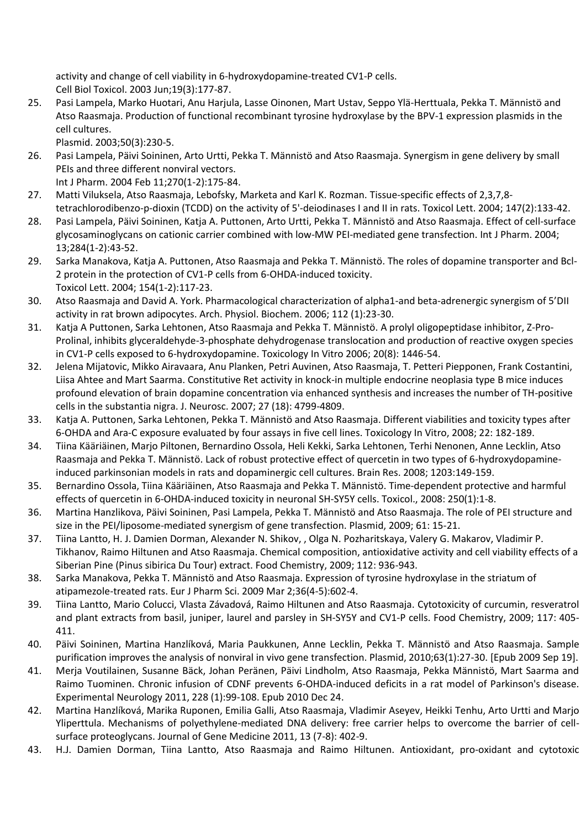activity and change of cell viability in 6-hydroxydopamine-treated CV1-P cells. Cell Biol Toxicol. 2003 Jun;19(3):177-87.

25. Pasi Lampela, Marko Huotari, Anu Harjula, Lasse Oinonen, Mart Ustav, Seppo Ylä-Herttuala, Pekka T. Männistö and Atso Raasmaja. Production of functional recombinant tyrosine hydroxylase by the BPV-1 expression plasmids in the cell cultures.

Plasmid. 2003;50(3):230-5.

26. Pasi Lampela, Päivi Soininen, Arto Urtti, Pekka T. Männistö and Atso Raasmaja. Synergism in gene delivery by small PEIs and three different nonviral vectors.

Int J Pharm. 2004 Feb 11;270(1-2):175-84.

- 27. Matti Viluksela, Atso Raasmaja, Lebofsky, Marketa and Karl K. Rozman. Tissue-specific effects of 2,3,7,8 tetrachlorodibenzo-p-dioxin (TCDD) on the activity of 5'-deiodinases I and II in rats. Toxicol Lett. 2004; 147(2):133-42.
- 28. Pasi Lampela, Päivi Soininen, Katja A. Puttonen, Arto Urtti, Pekka T. Männistö and Atso Raasmaja. Effect of cell-surface glycosaminoglycans on cationic carrier combined with low-MW PEI-mediated gene transfection. Int J Pharm. 2004; 13;284(1-2):43-52.
- 29. Sarka Manakova, Katja A. Puttonen, Atso Raasmaja and Pekka T. Männistö. The roles of dopamine transporter and Bcl-2 protein in the protection of CV1-P cells from 6-OHDA-induced toxicity. Toxicol Lett. 2004; 154(1-2):117-23.
- 30. Atso Raasmaja and David A. York. Pharmacological characterization of alpha1-and beta-adrenergic synergism of 5'DII activity in rat brown adipocytes. Arch. Physiol. Biochem. 2006; 112 (1):23-30.
- 31. Katja A Puttonen, Sarka Lehtonen, Atso Raasmaja and Pekka T. Männistö. A prolyl oligopeptidase inhibitor, Z-Pro-Prolinal, inhibits glyceraldehyde-3-phosphate dehydrogenase translocation and production of reactive oxygen species in CV1-P cells exposed to 6-hydroxydopamine. Toxicology In Vitro 2006; 20(8): 1446-54.
- 32. Jelena Mijatovic, Mikko Airavaara, Anu Planken, Petri Auvinen, Atso Raasmaja, T. Petteri Piepponen, Frank Costantini, Liisa Ahtee and Mart Saarma. Constitutive Ret activity in knock-in multiple endocrine neoplasia type B mice induces profound elevation of brain dopamine concentration via enhanced synthesis and increases the number of TH-positive cells in the substantia nigra. J. Neurosc. 2007; 27 (18): 4799-4809.
- 33. Katja A. Puttonen, Sarka Lehtonen, Pekka T. Männistö and Atso Raasmaja. Different viabilities and toxicity types after 6-OHDA and Ara-C exposure evaluated by four assays in five cell lines. Toxicology In Vitro, 2008; 22: 182-189.
- 34. Tiina Kääriäinen, Marjo Piltonen, Bernardino Ossola, Heli Kekki, Sarka Lehtonen, Terhi Nenonen, Anne Lecklin, Atso Raasmaja and Pekka T. Männistö. Lack of robust protective effect of quercetin in two types of 6-hydroxydopamineinduced parkinsonian models in rats and dopaminergic cell cultures. Brain Res. 2008; 1203:149-159.
- 35. Bernardino Ossola, Tiina Kääriäinen, Atso Raasmaja and Pekka T. Männistö. Time-dependent protective and harmful effects of quercetin in 6-OHDA-induced toxicity in neuronal SH-SY5Y cells. Toxicol., 2008: 250(1):1-8.
- 36. Martina Hanzlikova, Päivi Soininen, Pasi Lampela, Pekka T. Männistö and Atso Raasmaja. The role of PEI structure and size in the PEI/liposome-mediated synergism of gene transfection. Plasmid, 2009; 61: 15-21.
- 37. Tiina Lantto, H. J. Damien Dorman, Alexander N. Shikov, , Olga N. Pozharitskaya, Valery G. Makarov, Vladimir P. Tikhanov, Raimo Hiltunen and Atso Raasmaja. Chemical composition, antioxidative activity and cell viability effects of a Siberian Pine (Pinus sibirica Du Tour) extract. Food Chemistry, 2009; 112: 936-943.
- 38. Sarka Manakova, Pekka T. Männistö and Atso Raasmaja. Expression of tyrosine hydroxylase in the striatum of atipamezole-treated rats. Eur J Pharm Sci. 2009 Mar 2;36(4-5):602-4.
- 39. Tiina Lantto, Mario Colucci, Vlasta Závadová, Raimo Hiltunen and Atso Raasmaja. Cytotoxicity of curcumin, resveratrol and plant extracts from basil, juniper, laurel and parsley in SH-SY5Y and CV1-P cells. Food Chemistry, 2009; 117: 405- 411.
- 40. Päivi Soininen, Martina Hanzlíková, Maria Paukkunen, Anne Lecklin, Pekka T. Männistö and Atso Raasmaja. Sample purification improves the analysis of nonviral in vivo gene transfection. Plasmid, 2010;63(1):27-30. [Epub 2009 Sep 19].
- 41. Merja Voutilainen, Susanne Bäck, Johan Peränen, Päivi Lindholm, Atso Raasmaja, Pekka Männistö, Mart Saarma and Raimo Tuominen. Chronic infusion of CDNF prevents 6-OHDA-induced deficits in a rat model of Parkinson's disease. Experimental Neurology 2011, 228 (1):99-108. Epub 2010 Dec 24.
- 42. Martina Hanzlíková, Marika Ruponen, Emilia Galli, Atso Raasmaja, Vladimir Aseyev, Heikki Tenhu, Arto Urtti and Marjo Yliperttula. Mechanisms of polyethylene-mediated DNA delivery: free carrier helps to overcome the barrier of cellsurface proteoglycans. Journal of Gene Medicine 2011, 13 (7-8): 402-9.
- 43. H.J. Damien Dorman, Tiina Lantto, Atso Raasmaja and Raimo Hiltunen. Antioxidant, pro-oxidant and cytotoxic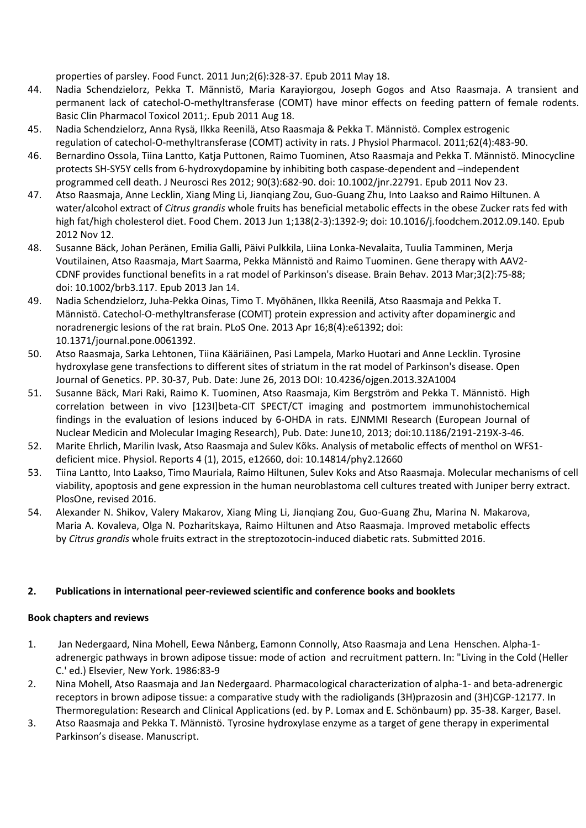properties of parsley. Food Funct. 2011 Jun;2(6):328-37. Epub 2011 May 18.

- 44. Nadia Schendzielorz, Pekka T. Männistö, Maria Karayiorgou, Joseph Gogos and Atso Raasmaja. A transient and permanent lack of catechol-O-methyltransferase (COMT) have minor effects on feeding pattern of female rodents. Basic Clin Pharmacol Toxicol 2011;. Epub 2011 Aug 18.
- 45. Nadia Schendzielorz, Anna Rysä, Ilkka Reenilä, Atso Raasmaja & Pekka T. Männistö. Complex estrogenic regulation of catechol-O-methyltransferase (COMT) activity in rats. J Physiol Pharmacol. 2011;62(4):483-90.
- 46. Bernardino Ossola, Tiina Lantto, Katja Puttonen, Raimo Tuominen, Atso Raasmaja and Pekka T. Männistö. Minocycline protects SH-SY5Y cells from 6-hydroxydopamine by inhibiting both caspase-dependent and –independent programmed cell death. J Neurosci Res 2012; 90(3):682-90. doi: 10.1002/jnr.22791. Epub 2011 Nov 23.
- 47. Atso Raasmaja, Anne Lecklin, Xiang Ming Li, Jianqiang Zou, Guo-Guang Zhu, Into Laakso and Raimo Hiltunen. A water/alcohol extract of *Citrus grandis* whole fruits has beneficial metabolic effects in the obese Zucker rats fed with high fat/high cholesterol diet. Food Chem. 2013 Jun 1;138(2-3):1392-9; doi: 10.1016/j.foodchem.2012.09.140. Epub 2012 Nov 12.
- 48. Susanne Bäck, Johan Peränen, Emilia Galli, Päivi Pulkkila, Liina Lonka-Nevalaita, Tuulia Tamminen, Merja Voutilainen, Atso Raasmaja, Mart Saarma, Pekka Männistö and Raimo Tuominen. Gene therapy with AAV2- CDNF provides functional benefits in a rat model of Parkinson's disease. Brain Behav. 2013 Mar;3(2):75-88; doi: 10.1002/brb3.117. Epub 2013 Jan 14.
- 49. Nadia Schendzielorz, Juha-Pekka Oinas, Timo T. Myöhänen, Ilkka Reenilä, Atso Raasmaja and Pekka T. Männistö. Catechol-O-methyltransferase (COMT) protein expression and activity after dopaminergic and noradrenergic lesions of the rat brain. PLoS One. 2013 Apr 16;8(4):e61392; doi: 10.1371/journal.pone.0061392.
- 50. Atso Raasmaja, Sarka Lehtonen, Tiina Kääriäinen, Pasi Lampela, Marko Huotari and Anne Lecklin. Tyrosine hydroxylase gene transfections to different sites of striatum in the rat model of Parkinson's disease. Open Journal of Genetics. PP. 30-37, Pub. Date: June 26, 2013 DOI[: 10.4236/ojgen.2013.32A1004](http://dx.doi.org/10.4236/ojgen.2013.32A1004)
- 51. Susanne Bäck, Mari Raki, Raimo K. Tuominen, Atso Raasmaja, Kim Bergström and Pekka T. Männistö. High correlation between in vivo [123I]beta-CIT SPECT/CT imaging and postmortem immunohistochemical findings in the evaluation of lesions induced by 6-OHDA in rats. EJNMMI Research (European Journal of Nuclear Medicin and Molecular Imaging Research), Pub. Date: June10, 2013; doi:10.1186/2191-219X-3-46.
- 52. Marite Ehrlich, Marilin Ivask, Atso Raasmaja and Sulev Kõks. Analysis of metabolic effects of menthol on WFS1 deficient mice. Physiol. Reports 4 (1), 2015, e12660, doi: 10.14814/phy2.12660
- 53. Tiina Lantto, Into Laakso, Timo Mauriala, Raimo Hiltunen, Sulev Koks and Atso Raasmaja. Molecular mechanisms of cell viability, apoptosis and gene expression in the human neuroblastoma cell cultures treated with Juniper berry extract. PlosOne, revised 2016.
- 54. Alexander N. Shikov, Valery Makarov, Xiang Ming Li, Jianqiang Zou, Guo-Guang Zhu, Marina N. Makarova, Maria A. Kovaleva, Olga N. Pozharitskaya, Raimo Hiltunen and Atso Raasmaja. Improved metabolic effects by *Citrus grandis* whole fruits extract in the streptozotocin-induced diabetic rats. Submitted 2016.

#### **2. Publications in international peer-reviewed scientific and conference books and booklets**

#### **Book chapters and reviews**

- 1. Jan Nedergaard, Nina Mohell, Eewa Nånberg, Eamonn Connolly, Atso Raasmaja and Lena Henschen. Alpha-1 adrenergic pathways in brown adipose tissue: mode of action and recruitment pattern. In: "Living in the Cold (Heller C.' ed.) Elsevier, New York. 1986:83-9
- 2. Nina Mohell, Atso Raasmaja and Jan Nedergaard. Pharmacological characterization of alpha-1- and beta-adrenergic receptors in brown adipose tissue: a comparative study with the radioligands (3H)prazosin and (3H)CGP-12177. In Thermoregulation: Research and Clinical Applications (ed. by P. Lomax and E. Schönbaum) pp. 35-38. Karger, Basel.
- 3. Atso Raasmaja and Pekka T. Männistö. Tyrosine hydroxylase enzyme as a target of gene therapy in experimental Parkinson's disease. Manuscript.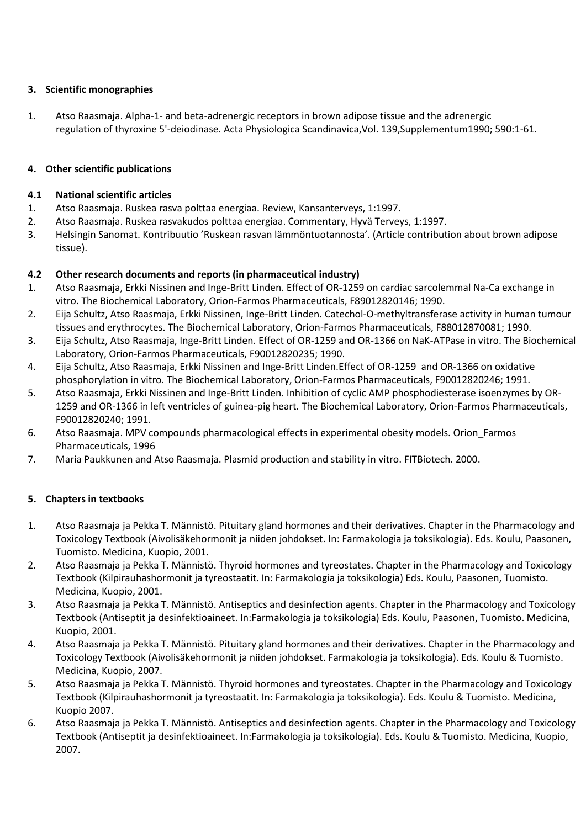### **3. Scientific monographies**

1. Atso Raasmaja. Alpha-1- and beta-adrenergic receptors in brown adipose tissue and the adrenergic regulation of thyroxine 5'-deiodinase. Acta Physiologica Scandinavica,Vol. 139,Supplementum1990; 590:1-61.

### **4. Other scientific publications**

#### **4.1 National scientific articles**

- 1. Atso Raasmaja. Ruskea rasva polttaa energiaa. Review, Kansanterveys, 1:1997.
- 2. Atso Raasmaja. Ruskea rasvakudos polttaa energiaa. Commentary, Hyvä Terveys, 1:1997.
- 3. Helsingin Sanomat. Kontribuutio 'Ruskean rasvan lämmöntuotannosta'. (Article contribution about brown adipose tissue).

### **4.2 Other research documents and reports (in pharmaceutical industry)**

- 1. Atso Raasmaja, Erkki Nissinen and Inge-Britt Linden. Effect of OR-1259 on cardiac sarcolemmal Na-Ca exchange in vitro. The Biochemical Laboratory, Orion-Farmos Pharmaceuticals, F89012820146; 1990.
- 2. Eija Schultz, Atso Raasmaja, Erkki Nissinen, Inge-Britt Linden. Catechol-O-methyltransferase activity in human tumour tissues and erythrocytes. The Biochemical Laboratory, Orion-Farmos Pharmaceuticals, F88012870081; 1990.
- 3. Eija Schultz, Atso Raasmaja, Inge-Britt Linden. Effect of OR-1259 and OR-1366 on NaK-ATPase in vitro. The Biochemical Laboratory, Orion-Farmos Pharmaceuticals, F90012820235; 1990.
- 4. Eija Schultz, Atso Raasmaja, Erkki Nissinen and Inge-Britt Linden.Effect of OR-1259 and OR-1366 on oxidative phosphorylation in vitro. The Biochemical Laboratory, Orion-Farmos Pharmaceuticals, F90012820246; 1991.
- 5. Atso Raasmaja, Erkki Nissinen and Inge-Britt Linden. Inhibition of cyclic AMP phosphodiesterase isoenzymes by OR-1259 and OR-1366 in left ventricles of guinea-pig heart. The Biochemical Laboratory, Orion-Farmos Pharmaceuticals, F90012820240; 1991.
- 6. Atso Raasmaja. MPV compounds pharmacological effects in experimental obesity models. Orion\_Farmos Pharmaceuticals, 1996
- 7. Maria Paukkunen and Atso Raasmaja. Plasmid production and stability in vitro. FITBiotech. 2000.

## **5. Chapters in textbooks**

- 1. Atso Raasmaja ja Pekka T. Männistö. Pituitary gland hormones and their derivatives. Chapter in the Pharmacology and Toxicology Textbook (Aivolisäkehormonit ja niiden johdokset. In: Farmakologia ja toksikologia). Eds. Koulu, Paasonen, Tuomisto. Medicina, Kuopio, 2001.
- 2. Atso Raasmaja ja Pekka T. Männistö. Thyroid hormones and tyreostates. Chapter in the Pharmacology and Toxicology Textbook (Kilpirauhashormonit ja tyreostaatit. In: Farmakologia ja toksikologia) Eds. Koulu, Paasonen, Tuomisto. Medicina, Kuopio, 2001.
- 3. Atso Raasmaja ja Pekka T. Männistö. Antiseptics and desinfection agents. Chapter in the Pharmacology and Toxicology Textbook (Antiseptit ja desinfektioaineet. In:Farmakologia ja toksikologia) Eds. Koulu, Paasonen, Tuomisto. Medicina, Kuopio, 2001.
- 4. Atso Raasmaja ja Pekka T. Männistö. Pituitary gland hormones and their derivatives. Chapter in the Pharmacology and Toxicology Textbook (Aivolisäkehormonit ja niiden johdokset. Farmakologia ja toksikologia). Eds. Koulu & Tuomisto. Medicina, Kuopio, 2007.
- 5. Atso Raasmaja ja Pekka T. Männistö. Thyroid hormones and tyreostates. Chapter in the Pharmacology and Toxicology Textbook (Kilpirauhashormonit ja tyreostaatit. In: Farmakologia ja toksikologia). Eds. Koulu & Tuomisto. Medicina, Kuopio 2007.
- 6. Atso Raasmaja ja Pekka T. Männistö. Antiseptics and desinfection agents. Chapter in the Pharmacology and Toxicology Textbook (Antiseptit ja desinfektioaineet. In:Farmakologia ja toksikologia). Eds. Koulu & Tuomisto. Medicina, Kuopio, 2007.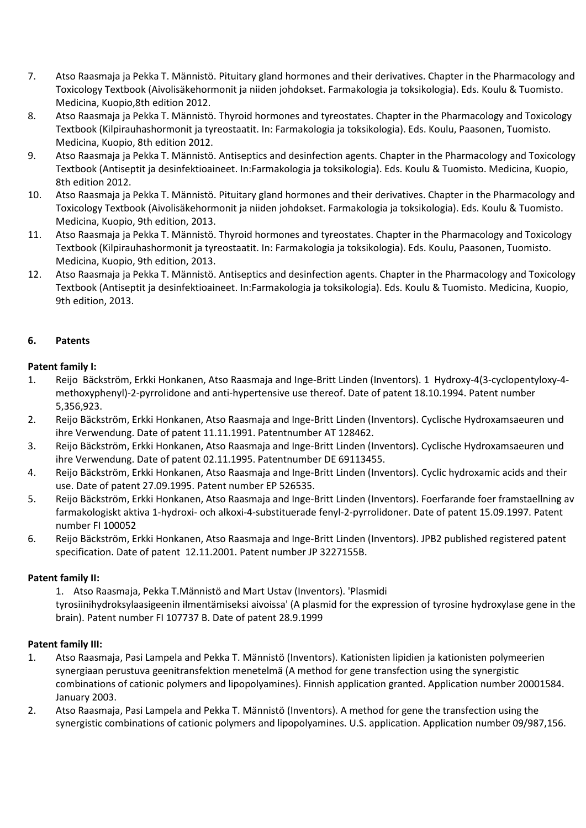- 7. Atso Raasmaja ja Pekka T. Männistö. Pituitary gland hormones and their derivatives. Chapter in the Pharmacology and Toxicology Textbook (Aivolisäkehormonit ja niiden johdokset. Farmakologia ja toksikologia). Eds. Koulu & Tuomisto. Medicina, Kuopio,8th edition 2012.
- 8. Atso Raasmaja ja Pekka T. Männistö. Thyroid hormones and tyreostates. Chapter in the Pharmacology and Toxicology Textbook (Kilpirauhashormonit ja tyreostaatit. In: Farmakologia ja toksikologia). Eds. Koulu, Paasonen, Tuomisto. Medicina, Kuopio, 8th edition 2012.
- 9. Atso Raasmaja ja Pekka T. Männistö. Antiseptics and desinfection agents. Chapter in the Pharmacology and Toxicology Textbook (Antiseptit ja desinfektioaineet. In:Farmakologia ja toksikologia). Eds. Koulu & Tuomisto. Medicina, Kuopio, 8th edition 2012.
- 10. Atso Raasmaja ja Pekka T. Männistö. Pituitary gland hormones and their derivatives. Chapter in the Pharmacology and Toxicology Textbook (Aivolisäkehormonit ja niiden johdokset. Farmakologia ja toksikologia). Eds. Koulu & Tuomisto. Medicina, Kuopio, 9th edition, 2013.
- 11. Atso Raasmaja ja Pekka T. Männistö. Thyroid hormones and tyreostates. Chapter in the Pharmacology and Toxicology Textbook (Kilpirauhashormonit ja tyreostaatit. In: Farmakologia ja toksikologia). Eds. Koulu, Paasonen, Tuomisto. Medicina, Kuopio, 9th edition, 2013.
- 12. Atso Raasmaja ja Pekka T. Männistö. Antiseptics and desinfection agents. Chapter in the Pharmacology and Toxicology Textbook (Antiseptit ja desinfektioaineet. In:Farmakologia ja toksikologia). Eds. Koulu & Tuomisto. Medicina, Kuopio, 9th edition, 2013.

### **6. Patents**

### **Patent family I:**

- 1. Reijo Bäckström, Erkki Honkanen, Atso Raasmaja and Inge-Britt Linden (Inventors). 1 Hydroxy-4(3-cyclopentyloxy-4 methoxyphenyl)-2-pyrrolidone and anti-hypertensive use thereof. Date of patent 18.10.1994. Patent number 5,356,923.
- 2. Reijo Bäckström, Erkki Honkanen, Atso Raasmaja and Inge-Britt Linden (Inventors). Cyclische Hydroxamsaeuren und ihre Verwendung. Date of patent 11.11.1991. Patentnumber AT 128462.
- 3. Reijo Bäckström, Erkki Honkanen, Atso Raasmaja and Inge-Britt Linden (Inventors). Cyclische Hydroxamsaeuren und ihre Verwendung. Date of patent 02.11.1995. Patentnumber DE 69113455.
- 4. Reijo Bäckström, Erkki Honkanen, Atso Raasmaja and Inge-Britt Linden (Inventors). Cyclic hydroxamic acids and their use. Date of patent 27.09.1995. Patent number EP 526535.
- 5. Reijo Bäckström, Erkki Honkanen, Atso Raasmaja and Inge-Britt Linden (Inventors). Foerfarande foer framstaellning av farmakologiskt aktiva 1-hydroxi- och alkoxi-4-substituerade fenyl-2-pyrrolidoner. Date of patent 15.09.1997. Patent number FI 100052
- 6. Reijo Bäckström, Erkki Honkanen, Atso Raasmaja and Inge-Britt Linden (Inventors). JPB2 published registered patent specification. Date of patent 12.11.2001. Patent number JP 3227155B.

#### **Patent family II:**

1. Atso Raasmaja, Pekka T.Männistö and Mart Ustav (Inventors). 'Plasmidi tyrosiinihydroksylaasigeenin ilmentämiseksi aivoissa' (A plasmid for the expression of tyrosine hydroxylase gene in the brain). Patent number FI 107737 B. Date of patent 28.9.1999

#### **Patent family III:**

- 1. Atso Raasmaja, Pasi Lampela and Pekka T. Männistö (Inventors). Kationisten lipidien ja kationisten polymeerien synergiaan perustuva geenitransfektion menetelmä (A method for gene transfection using the synergistic combinations of cationic polymers and lipopolyamines). Finnish application granted. Application number 20001584. January 2003.
- 2. Atso Raasmaja, Pasi Lampela and Pekka T. Männistö (Inventors). A method for gene the transfection using the synergistic combinations of cationic polymers and lipopolyamines. U.S. application. Application number 09/987,156.